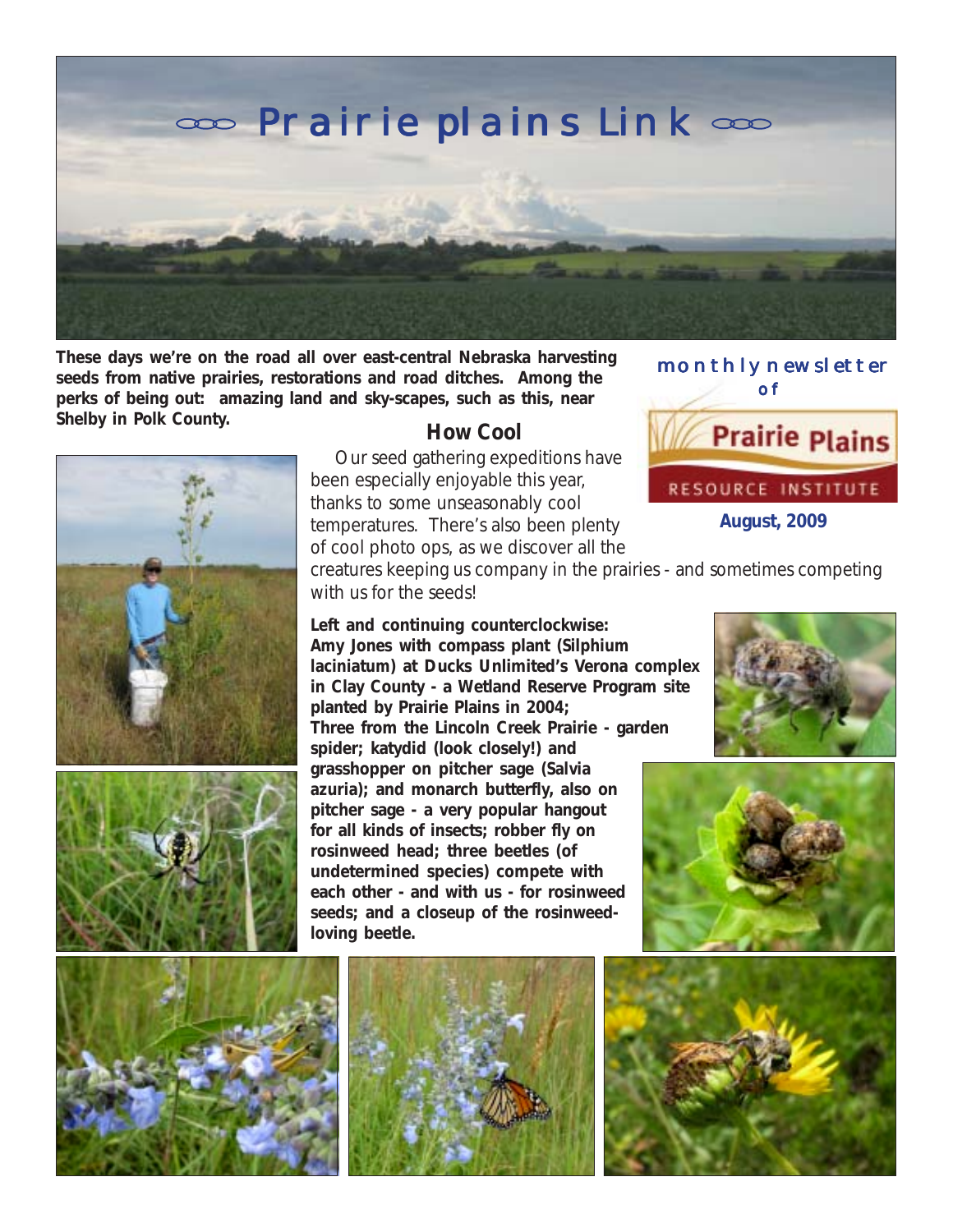

**These days we're on the road all over east-central Nebraska harvesting seeds from native prairies, restorations and road ditches. Among the perks of being out: amazing land and sky-scapes, such as this, near Shelby in Polk County. How Cool** 





 Our seed gathering expeditions have been especially enjoyable this year, thanks to some unseasonably cool temperatures. There's also been plenty of cool photo ops, as we discover all the  monthly newsletter of **Prairie Plains** RESOURCE INSTITUTE **August, 2009**

creatures keeping us company in the prairies - and sometimes competing with us for the seeds!

**Left and continuing counterclockwise: Amy Jones with compass plant (***Silphium laciniatum***) at Ducks Unlimited's Verona complex in Clay County - a Wetland Reserve Program site planted by Prairie Plains in 2004; Three from the Lincoln Creek Prairie - garden spider; katydid (look closely!) and grasshopper on pitcher sage (***Salvia azuria***); and monarch butterfly, also on pitcher sage - a very popular hangout for all kinds of insects; robber fly on rosinweed head; three beetles (of undetermined species) compete with each other - and with us - for rosinweed seeds; and a closeup of the rosinweedloving beetle.**